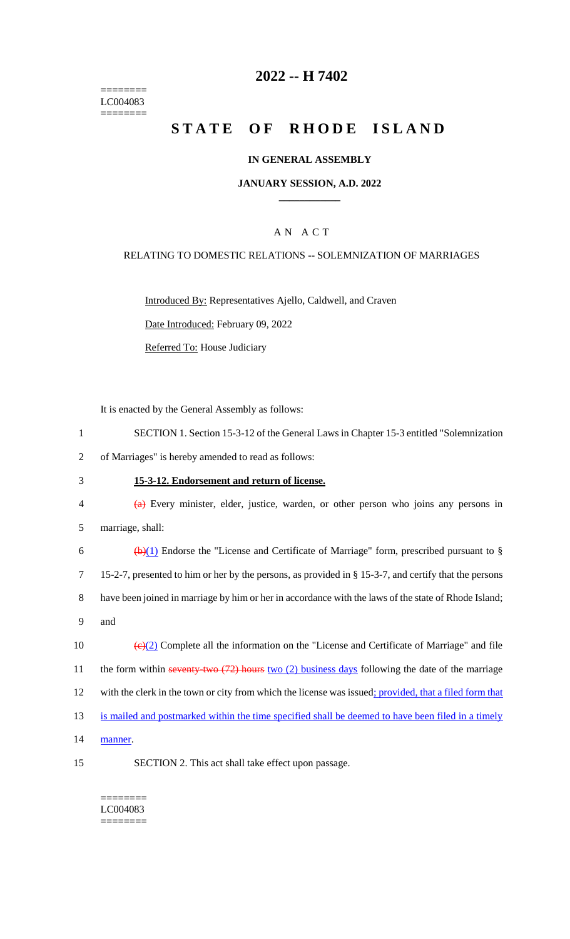======== LC004083 ========

# **2022 -- H 7402**

# **STATE OF RHODE ISLAND**

## **IN GENERAL ASSEMBLY**

## **JANUARY SESSION, A.D. 2022 \_\_\_\_\_\_\_\_\_\_\_\_**

# A N A C T

### RELATING TO DOMESTIC RELATIONS -- SOLEMNIZATION OF MARRIAGES

Introduced By: Representatives Ajello, Caldwell, and Craven

Date Introduced: February 09, 2022

Referred To: House Judiciary

It is enacted by the General Assembly as follows:

- 1 SECTION 1. Section 15-3-12 of the General Laws in Chapter 15-3 entitled "Solemnization
- 2 of Marriages" is hereby amended to read as follows:
- 3 **15-3-12. Endorsement and return of license.**
- 4 (a) Every minister, elder, justice, warden, or other person who joins any persons in 5 marriage, shall:

6 (b)(1) Endorse the "License and Certificate of Marriage" form, prescribed pursuant to  $\S$ 7 15-2-7, presented to him or her by the persons, as provided in § 15-3-7, and certify that the persons 8 have been joined in marriage by him or her in accordance with the laws of the state of Rhode Island; 9 and

10  $\left(\frac{e}{2}\right)$  Complete all the information on the "License and Certificate of Marriage" and file 11 the form within seventy-two (72) hours two (2) business days following the date of the marriage 12 with the clerk in the town or city from which the license was issued; provided, that a filed form that 13 is mailed and postmarked within the time specified shall be deemed to have been filed in a timely 14 manner.

- 
- 15 SECTION 2. This act shall take effect upon passage.

#### ======== LC004083

========